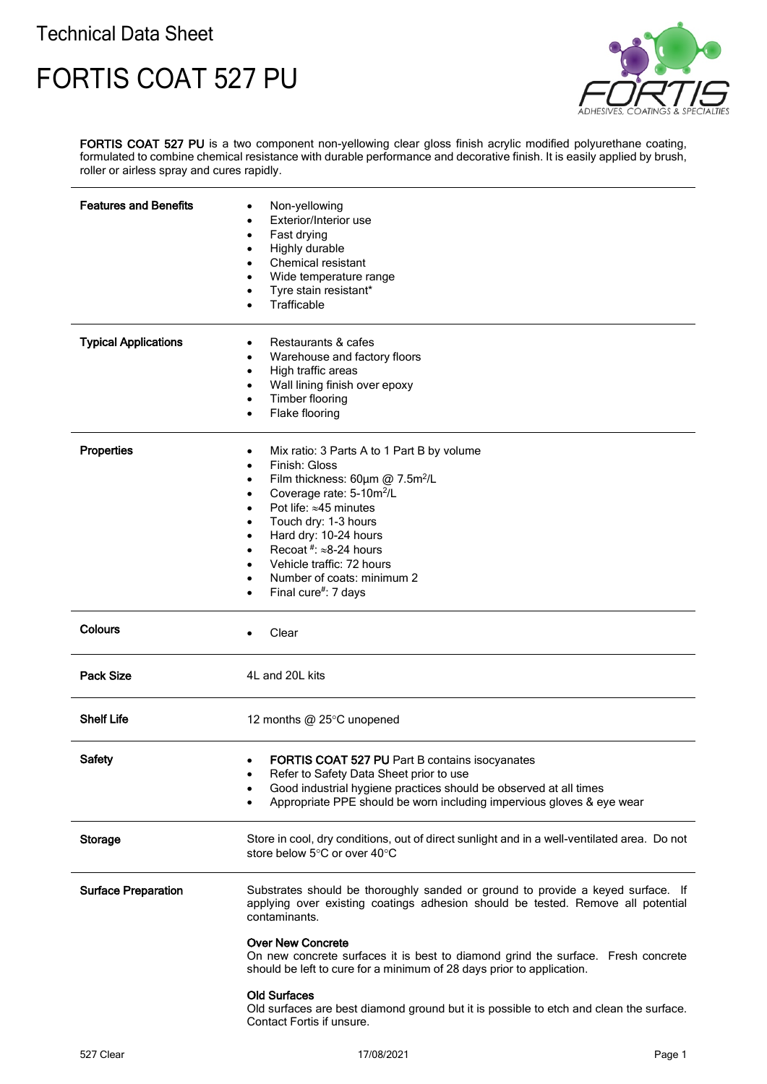## Technical Data Sheet

## FORTIS COAT 527 PU



FORTIS COAT 527 PU is a two component non-yellowing clear gloss finish acrylic modified polyurethane coating, formulated to combine chemical resistance with durable performance and decorative finish. It is easily applied by brush, roller or airless spray and cures rapidly.

| <b>Features and Benefits</b> | Non-yellowing<br>Exterior/Interior use<br>Fast drying<br>$\bullet$<br>Highly durable<br>٠<br>Chemical resistant<br>$\bullet$<br>Wide temperature range<br>٠<br>Tyre stain resistant*<br>Trafficable                                                                                                                                                                                                                                                                                                                        |
|------------------------------|----------------------------------------------------------------------------------------------------------------------------------------------------------------------------------------------------------------------------------------------------------------------------------------------------------------------------------------------------------------------------------------------------------------------------------------------------------------------------------------------------------------------------|
| <b>Typical Applications</b>  | Restaurants & cafes<br>Warehouse and factory floors<br>$\bullet$<br>High traffic areas<br>٠<br>Wall lining finish over epoxy<br>٠<br>Timber flooring<br>Flake flooring<br>$\bullet$                                                                                                                                                                                                                                                                                                                                        |
| <b>Properties</b>            | Mix ratio: 3 Parts A to 1 Part B by volume<br>٠<br>Finish: Gloss<br>٠<br>Film thickness: 60um @ 7.5m <sup>2</sup> /L<br>٠<br>Coverage rate: 5-10m <sup>2</sup> /L<br>٠<br>Pot life: $\approx$ 45 minutes<br>Touch dry: 1-3 hours<br>Hard dry: 10-24 hours<br>٠<br>Recoat #: $\approx$ 8-24 hours<br>$\bullet$<br>Vehicle traffic: 72 hours<br>$\bullet$<br>Number of coats: minimum 2<br>$\bullet$<br>Final cure#: 7 days                                                                                                  |
| <b>Colours</b>               | Clear<br>$\bullet$                                                                                                                                                                                                                                                                                                                                                                                                                                                                                                         |
| <b>Pack Size</b>             | 4L and 20L kits                                                                                                                                                                                                                                                                                                                                                                                                                                                                                                            |
| <b>Shelf Life</b>            | 12 months @ 25°C unopened                                                                                                                                                                                                                                                                                                                                                                                                                                                                                                  |
| <b>Safety</b>                | FORTIS COAT 527 PU Part B contains isocyanates<br>٠<br>Refer to Safety Data Sheet prior to use<br>Good industrial hygiene practices should be observed at all times<br>Appropriate PPE should be worn including impervious gloves & eye wear                                                                                                                                                                                                                                                                               |
| <b>Storage</b>               | Store in cool, dry conditions, out of direct sunlight and in a well-ventilated area. Do not<br>store below 5°C or over 40°C                                                                                                                                                                                                                                                                                                                                                                                                |
| <b>Surface Preparation</b>   | Substrates should be thoroughly sanded or ground to provide a keyed surface. If<br>applying over existing coatings adhesion should be tested. Remove all potential<br>contaminants.<br><b>Over New Concrete</b><br>On new concrete surfaces it is best to diamond grind the surface. Fresh concrete<br>should be left to cure for a minimum of 28 days prior to application.<br><b>Old Surfaces</b><br>Old surfaces are best diamond ground but it is possible to etch and clean the surface.<br>Contact Fortis if unsure. |